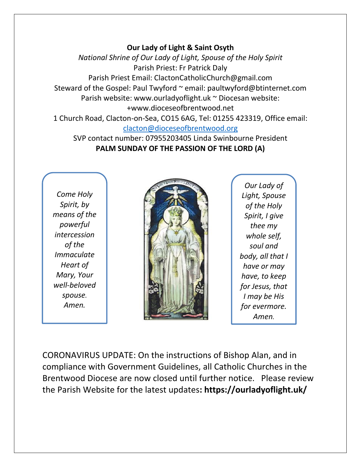## **Our Lady of Light & Saint Osyth**

*National Shrine of Our Lady of Light, Spouse of the Holy Spirit* Parish Priest: Fr Patrick Daly Parish Priest Email: ClactonCatholicChurch@gmail.com Steward of the Gospel: Paul Twyford ~ email: paultwyford@btinternet.com Parish website: www.ourladyoflight.uk ~ Diocesan website: +www.dioceseofbrentwood.net 1 Church Road, Clacton-on-Sea, CO15 6AG, Tel: 01255 423319, Office email:

[clacton@dioceseofbrentwood.org](mailto:clacton@dioceseofbrentwood.org)

SVP contact number: 07955203405 Linda Swinbourne President **PALM SUNDAY OF THE PASSION OF THE LORD (A)**

*Come Holy Spirit, by means of the powerful intercession of the Immaculate Heart of Mary, Your well-beloved spouse. Amen.*



*Our Lady of Light, Spouse of the Holy Spirit, I give thee my whole self, soul and body, all that I have or may have, to keep for Jesus, that I may be His for evermore. Amen.*

CORONAVIRUS UPDATE: On the instructions of Bishop Alan, and in compliance with Government Guidelines, all Catholic Churches in the Brentwood Diocese are now closed until further notice. Please review the Parish Website for the latest updates**: https://ourladyoflight.uk/**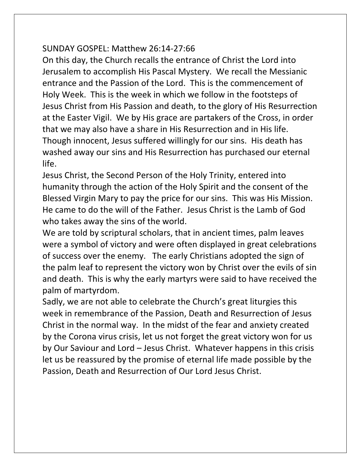## SUNDAY GOSPEL: Matthew 26:14-27:66

On this day, the Church recalls the entrance of Christ the Lord into Jerusalem to accomplish His Pascal Mystery. We recall the Messianic entrance and the Passion of the Lord. This is the commencement of Holy Week. This is the week in which we follow in the footsteps of Jesus Christ from His Passion and death, to the glory of His Resurrection at the Easter Vigil. We by His grace are partakers of the Cross, in order that we may also have a share in His Resurrection and in His life. Though innocent, Jesus suffered willingly for our sins. His death has washed away our sins and His Resurrection has purchased our eternal life.

Jesus Christ, the Second Person of the Holy Trinity, entered into humanity through the action of the Holy Spirit and the consent of the Blessed Virgin Mary to pay the price for our sins. This was His Mission. He came to do the will of the Father. Jesus Christ is the Lamb of God who takes away the sins of the world.

We are told by scriptural scholars, that in ancient times, palm leaves were a symbol of victory and were often displayed in great celebrations of success over the enemy. The early Christians adopted the sign of the palm leaf to represent the victory won by Christ over the evils of sin and death. This is why the early martyrs were said to have received the palm of martyrdom.

Sadly, we are not able to celebrate the Church's great liturgies this week in remembrance of the Passion, Death and Resurrection of Jesus Christ in the normal way. In the midst of the fear and anxiety created by the Corona virus crisis, let us not forget the great victory won for us by Our Saviour and Lord – Jesus Christ. Whatever happens in this crisis let us be reassured by the promise of eternal life made possible by the Passion, Death and Resurrection of Our Lord Jesus Christ.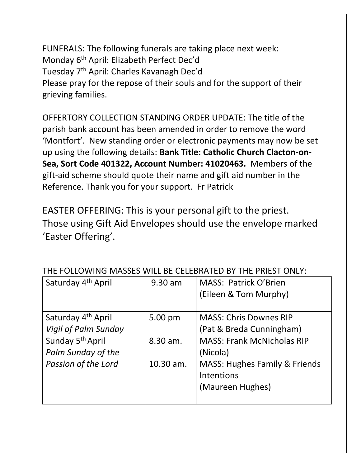FUNERALS: The following funerals are taking place next week: Monday 6th April: Elizabeth Perfect Dec'd Tuesday 7th April: Charles Kavanagh Dec'd Please pray for the repose of their souls and for the support of their grieving families.

OFFERTORY COLLECTION STANDING ORDER UPDATE: The title of the parish bank account has been amended in order to remove the word 'Montfort'. New standing order or electronic payments may now be set up using the following details: **Bank Title: Catholic Church Clacton-on-Sea, Sort Code 401322, Account Number: 41020463.** Members of the gift-aid scheme should quote their name and gift aid number in the Reference. Thank you for your support. Fr Patrick

EASTER OFFERING: This is your personal gift to the priest. Those using Gift Aid Envelopes should use the envelope marked 'Easter Offering'.

| Saturday 4 <sup>th</sup> April | 9.30 am   | <b>MASS: Patrick O'Brien</b>             |
|--------------------------------|-----------|------------------------------------------|
|                                |           | (Eileen & Tom Murphy)                    |
|                                |           |                                          |
| Saturday 4 <sup>th</sup> April | 5.00 pm   | <b>MASS: Chris Downes RIP</b>            |
| <b>Vigil of Palm Sunday</b>    |           | (Pat & Breda Cunningham)                 |
| Sunday 5 <sup>th</sup> April   | 8.30 am.  | <b>MASS: Frank McNicholas RIP</b>        |
| Palm Sunday of the             |           | (Nicola)                                 |
| Passion of the Lord            | 10.30 am. | <b>MASS: Hughes Family &amp; Friends</b> |
|                                |           | <b>Intentions</b>                        |
|                                |           | (Maureen Hughes)                         |
|                                |           |                                          |

## THE FOLLOWING MASSES WILL BE CELEBRATED BY THE PRIEST ONLY: